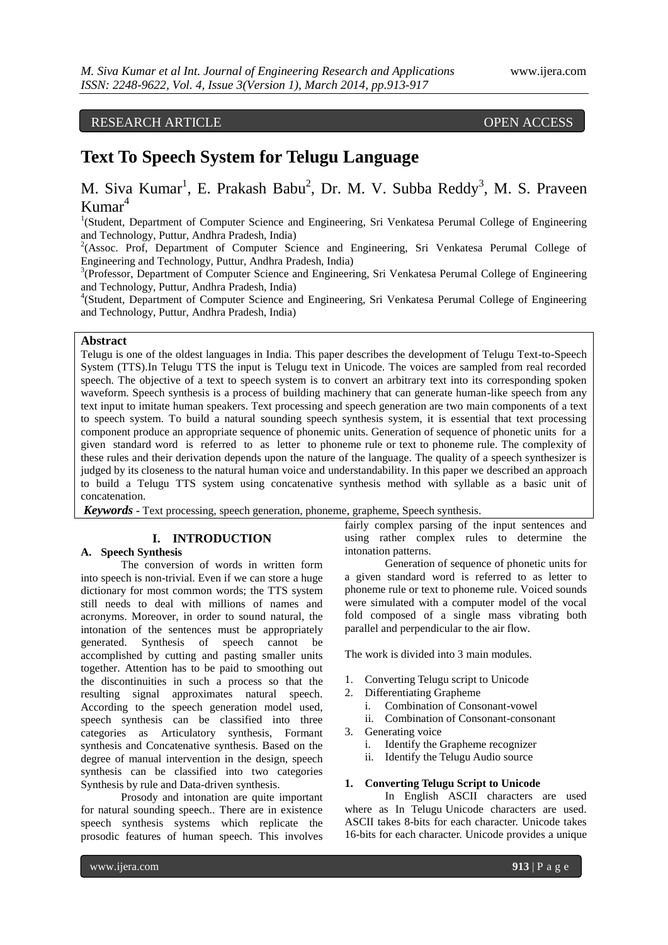## RESEARCH ARTICLE OPEN ACCESS

# **Text To Speech System for Telugu Language**

M. Siva Kumar<sup>1</sup>, E. Prakash Babu<sup>2</sup>, Dr. M. V. Subba Reddy<sup>3</sup>, M. S. Praveen  $Kumar<sup>4</sup>$ 

<sup>1</sup>(Student, Department of Computer Science and Engineering, Sri Venkatesa Perumal College of Engineering and Technology, Puttur, Andhra Pradesh, India)

<sup>2</sup>(Assoc. Prof, Department of Computer Science and Engineering, Sri Venkatesa Perumal College of Engineering and Technology, Puttur, Andhra Pradesh, India)

<sup>3</sup>(Professor, Department of Computer Science and Engineering, Sri Venkatesa Perumal College of Engineering and Technology, Puttur, Andhra Pradesh, India)

4 (Student, Department of Computer Science and Engineering, Sri Venkatesa Perumal College of Engineering and Technology, Puttur, Andhra Pradesh, India)

### **Abstract**

Telugu is one of the oldest languages in India. This paper describes the development of Telugu Text-to-Speech System (TTS).In Telugu TTS the input is Telugu text in Unicode. The voices are sampled from real recorded speech. The objective of a text to speech system is to convert an arbitrary text into its corresponding spoken waveform. Speech synthesis is a process of building machinery that can generate human-like speech from any text input to imitate human speakers. Text processing and speech generation are two main components of a text to speech system. To build a natural sounding speech synthesis system, it is essential that text processing component produce an appropriate sequence of phonemic units. Generation of sequence of phonetic units for a given standard word is referred to as letter to phoneme rule or text to phoneme rule. The complexity of these rules and their derivation depends upon the nature of the language. The quality of a speech synthesizer is judged by its closeness to the natural human voice and understandability. In this paper we described an approach to build a Telugu TTS system using concatenative synthesis method with syllable as a basic unit of concatenation.

*Keywords* **-** Text processing, speech generation, phoneme, grapheme, Speech synthesis.

### **I. INTRODUCTION**

### **A. Speech Synthesis**

The conversion of words in written form into speech is non-trivial. Even if we can store a huge dictionary for most common words; the TTS system still needs to deal with millions of names and acronyms. Moreover, in order to sound natural, the intonation of the sentences must be appropriately generated. Synthesis of speech cannot be accomplished by cutting and pasting smaller units together. Attention has to be paid to smoothing out the discontinuities in such a process so that the resulting signal approximates natural speech. According to the speech generation model used, speech synthesis can be classified into three categories as Articulatory synthesis, Formant synthesis and Concatenative synthesis. Based on the degree of manual intervention in the design, speech synthesis can be classified into two categories Synthesis by rule and Data-driven synthesis.

Prosody and intonation are quite important for natural sounding speech.. There are in existence speech synthesis systems which replicate the prosodic features of human speech. This involves fairly complex parsing of the input sentences and using rather complex rules to determine the intonation patterns.

Generation of sequence of phonetic units for a given standard word is referred to as letter to phoneme rule or text to phoneme rule. Voiced sounds were simulated with a computer model of the vocal fold composed of a single mass vibrating both parallel and perpendicular to the air flow.

The work is divided into 3 main modules.

- 1. Converting Telugu script to Unicode
- 2. Differentiating Grapheme
	- i. Combination of Consonant-vowel
	- ii. Combination of Consonant-consonant
- 3. Generating voice
	- i. Identify the Grapheme recognizer
	- ii. Identify the Telugu Audio source

#### **1. Converting Telugu Script to Unicode**

In English ASCII characters are used where as In Telugu Unicode characters are used. ASCII takes 8-bits for each character. Unicode takes 16-bits for each character. Unicode provides a unique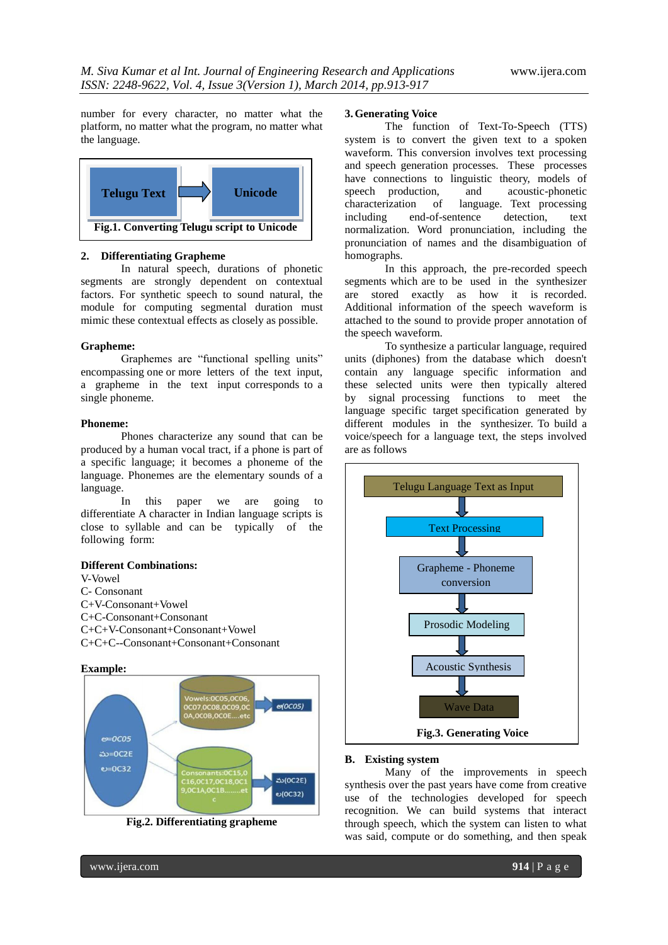number for every character, no matter what the platform, no matter what the program, no matter what the language.



#### **2. Differentiating Grapheme**

In natural speech, durations of phonetic segments are strongly dependent on contextual factors. For synthetic speech to sound natural, the module for computing segmental duration must mimic these contextual effects as closely as possible.

#### **Grapheme:**

Graphemes are "functional spelling units" encompassing one or more letters of the text input, a grapheme in the text input corresponds to a single phoneme.

#### **Phoneme:**

Phones characterize any sound that can be produced by a human vocal tract, if a phone is part of a specific language; it becomes a phoneme of the language. Phonemes are the elementary sounds of a language.

In this paper we are going to differentiate A character in Indian language scripts is close to syllable and can be typically of the following form:

#### **Different Combinations:**

V-Vowel C- Consonant C+V-Consonant+Vowel C+C-Consonant+Consonant

C+C+V-Consonant+Consonant+Vowel C+C+C--Consonant+Consonant+Consonant

#### **Example:**



**Fig.2. Differentiating grapheme**

#### **3.Generating Voice**

The function of Text-To-Speech (TTS) system is to convert the given text to a spoken waveform. This conversion involves text processing and speech generation processes. These processes have connections to linguistic theory, models of speech production, and acoustic-phonetic speech production, and<br>characterization of langua language. Text processing including end-of-sentence detection, text normalization. Word pronunciation, including the pronunciation of names and the disambiguation of homographs.

In this approach, the pre-recorded speech segments which are to be used in the synthesizer are stored exactly as how it is recorded. Additional information of the speech waveform is attached to the sound to provide proper annotation of the speech waveform.

To synthesize a particular language, required units (diphones) from the database which doesn't contain any language specific information and these selected units were then typically altered by signal processing functions to meet the language specific target specification generated by different modules in the synthesizer. To build a voice/speech for a language text, the steps involved are as follows



#### **B. Existing system**

Many of the improvements in speech synthesis over the past years have come from creative use of the technologies developed for speech recognition. We can build systems that interact through speech, which the system can listen to what was said, compute or do something, and then speak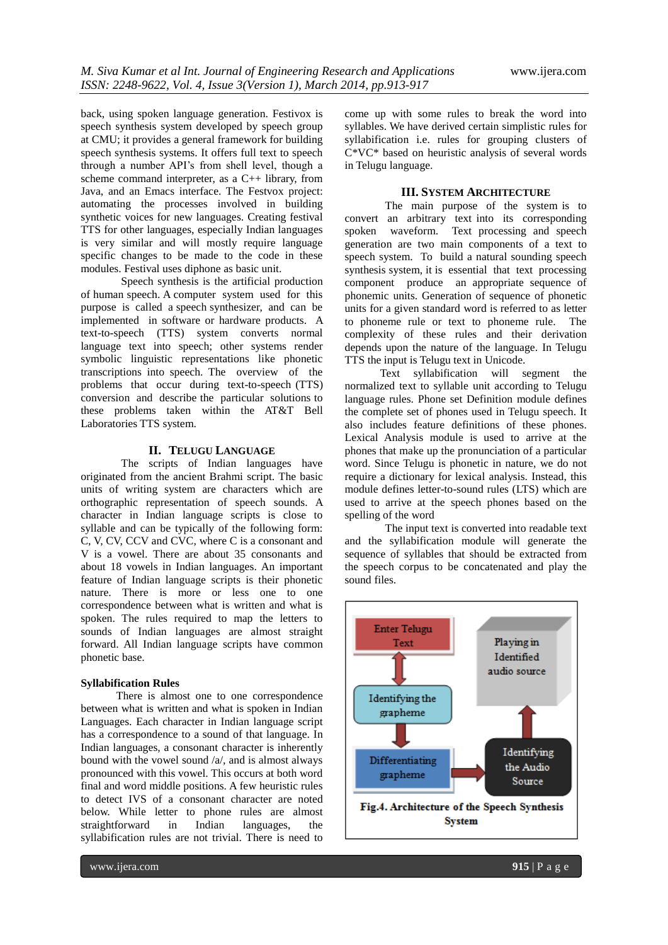back, using spoken language generation. Festivox is speech synthesis system developed by speech group at CMU; it provides a general framework for building speech synthesis systems. It offers full text to speech through a number API's from shell level, though a scheme command interpreter, as a C++ library, from Java, and an Emacs interface. The Festvox project: automating the processes involved in building synthetic voices for new languages. Creating festival TTS for other languages, especially Indian languages is very similar and will mostly require language specific changes to be made to the code in these modules. Festival uses diphone as basic unit.

Speech synthesis is the artificial production of human speech. A computer system used for this purpose is called a speech synthesizer, and can be implemented in software or hardware products. A text-to-speech (TTS) system converts normal language text into speech; other systems render symbolic linguistic representations like phonetic transcriptions into speech. The overview of the problems that occur during text-to-speech (TTS) conversion and describe the particular solutions to these problems taken within the AT&T Bell Laboratories TTS system.

#### **II. TELUGU LANGUAGE**

The scripts of Indian languages have originated from the ancient Brahmi script. The basic units of writing system are characters which are orthographic representation of speech sounds. A character in Indian language scripts is close to syllable and can be typically of the following form: C, V, CV, CCV and CVC, where C is a consonant and V is a vowel. There are about 35 consonants and about 18 vowels in Indian languages. An important feature of Indian language scripts is their phonetic nature. There is more or less one to one correspondence between what is written and what is spoken. The rules required to map the letters to sounds of Indian languages are almost straight forward. All Indian language scripts have common phonetic base.

#### **Syllabification Rules**

There is almost one to one correspondence between what is written and what is spoken in Indian Languages. Each character in Indian language script has a correspondence to a sound of that language. In Indian languages, a consonant character is inherently bound with the vowel sound /a/, and is almost always pronounced with this vowel. This occurs at both word final and word middle positions. A few heuristic rules to detect IVS of a consonant character are noted below. While letter to phone rules are almost straightforward in Indian languages, the syllabification rules are not trivial. There is need to

come up with some rules to break the word into syllables. We have derived certain simplistic rules for syllabification i.e. rules for grouping clusters of C\*VC\* based on heuristic analysis of several words in Telugu language.

#### **III. SYSTEM ARCHITECTURE**

The main purpose of the system is to convert an arbitrary text into its corresponding spoken waveform. Text processing and speech generation are two main components of a text to speech system. To build a natural sounding speech synthesis system, it is essential that text processing component produce an appropriate sequence of phonemic units. Generation of sequence of phonetic units for a given standard word is referred to as letter to phoneme rule or text to phoneme rule. The complexity of these rules and their derivation depends upon the nature of the language. In Telugu TTS the input is Telugu text in Unicode.

Text syllabification will segment the normalized text to syllable unit according to Telugu language rules. Phone set Definition module defines the complete set of phones used in Telugu speech. It also includes feature definitions of these phones. Lexical Analysis module is used to arrive at the phones that make up the pronunciation of a particular word. Since Telugu is phonetic in nature, we do not require a dictionary for lexical analysis. Instead, this module defines letter-to-sound rules (LTS) which are used to arrive at the speech phones based on the spelling of the word

The input text is converted into readable text and the syllabification module will generate the sequence of syllables that should be extracted from the speech corpus to be concatenated and play the sound files.

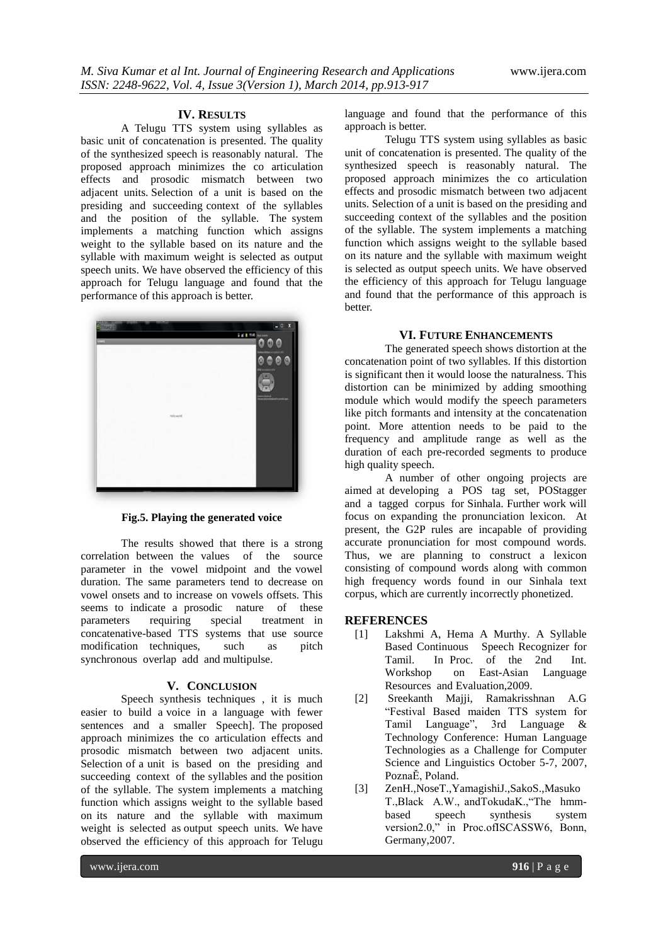#### **IV. RESULTS**

A Telugu TTS system using syllables as basic unit of concatenation is presented. The quality of the synthesized speech is reasonably natural. The proposed approach minimizes the co articulation effects and prosodic mismatch between two adjacent units. Selection of a unit is based on the presiding and succeeding context of the syllables and the position of the syllable. The system implements a matching function which assigns weight to the syllable based on its nature and the syllable with maximum weight is selected as output speech units. We have observed the efficiency of this approach for Telugu language and found that the performance of this approach is better.



**Fig.5. Playing the generated voice**

The results showed that there is a strong correlation between the values of the source parameter in the vowel midpoint and the vowel duration. The same parameters tend to decrease on vowel onsets and to increase on vowels offsets. This seems to indicate a prosodic nature of these parameters requiring special treatment in concatenative-based TTS systems that use source modification techniques, such as pitch synchronous overlap add and multipulse.

#### **V. CONCLUSION**

Speech synthesis techniques , it is much easier to build a voice in a language with fewer sentences and a smaller Speech]. The proposed approach minimizes the co articulation effects and prosodic mismatch between two adjacent units. Selection of a unit is based on the presiding and succeeding context of the syllables and the position of the syllable. The system implements a matching function which assigns weight to the syllable based on its nature and the syllable with maximum weight is selected as output speech units. We have observed the efficiency of this approach for Telugu

language and found that the performance of this approach is better.

Telugu TTS system using syllables as basic unit of concatenation is presented. The quality of the synthesized speech is reasonably natural. The proposed approach minimizes the co articulation effects and prosodic mismatch between two adjacent units. Selection of a unit is based on the presiding and succeeding context of the syllables and the position of the syllable. The system implements a matching function which assigns weight to the syllable based on its nature and the syllable with maximum weight is selected as output speech units. We have observed the efficiency of this approach for Telugu language and found that the performance of this approach is better.

#### **VI. FUTURE ENHANCEMENTS**

The generated speech shows distortion at the concatenation point of two syllables. If this distortion is significant then it would loose the naturalness. This distortion can be minimized by adding smoothing module which would modify the speech parameters like pitch formants and intensity at the concatenation point. More attention needs to be paid to the frequency and amplitude range as well as the duration of each pre-recorded segments to produce high quality speech.

A number of other ongoing projects are aimed at developing a POS tag set, POStagger and a tagged corpus for Sinhala. Further work will focus on expanding the pronunciation lexicon. At present, the G2P rules are incapable of providing accurate pronunciation for most compound words. Thus, we are planning to construct a lexicon consisting of compound words along with common high frequency words found in our Sinhala text corpus, which are currently incorrectly phonetized.

#### **REFERENCES**

- [1] Lakshmi A, Hema A Murthy. A Syllable Based Continuous Speech Recognizer for<br>Tamil In Proc of the 2nd Int In Proc. of the  $2nd$ Workshop on East-Asian Language Resources and Evaluation,2009.
- [2] Sreekanth Majji, Ramakrisshnan A.G "Festival Based maiden TTS system for Tamil Language", 3rd Language & Technology Conference: Human Language Technologies as a Challenge for Computer Science and Linguistics October 5-7, 2007, PoznaĔ, Poland.
- [3] ZenH.,NoseT.,YamagishiJ.,SakoS.,Masuko T.,Black A.W., andTokudaK.,"The hmmbased speech synthesis system version2.0," in Proc.ofISCASSW6, Bonn, Germany,2007.